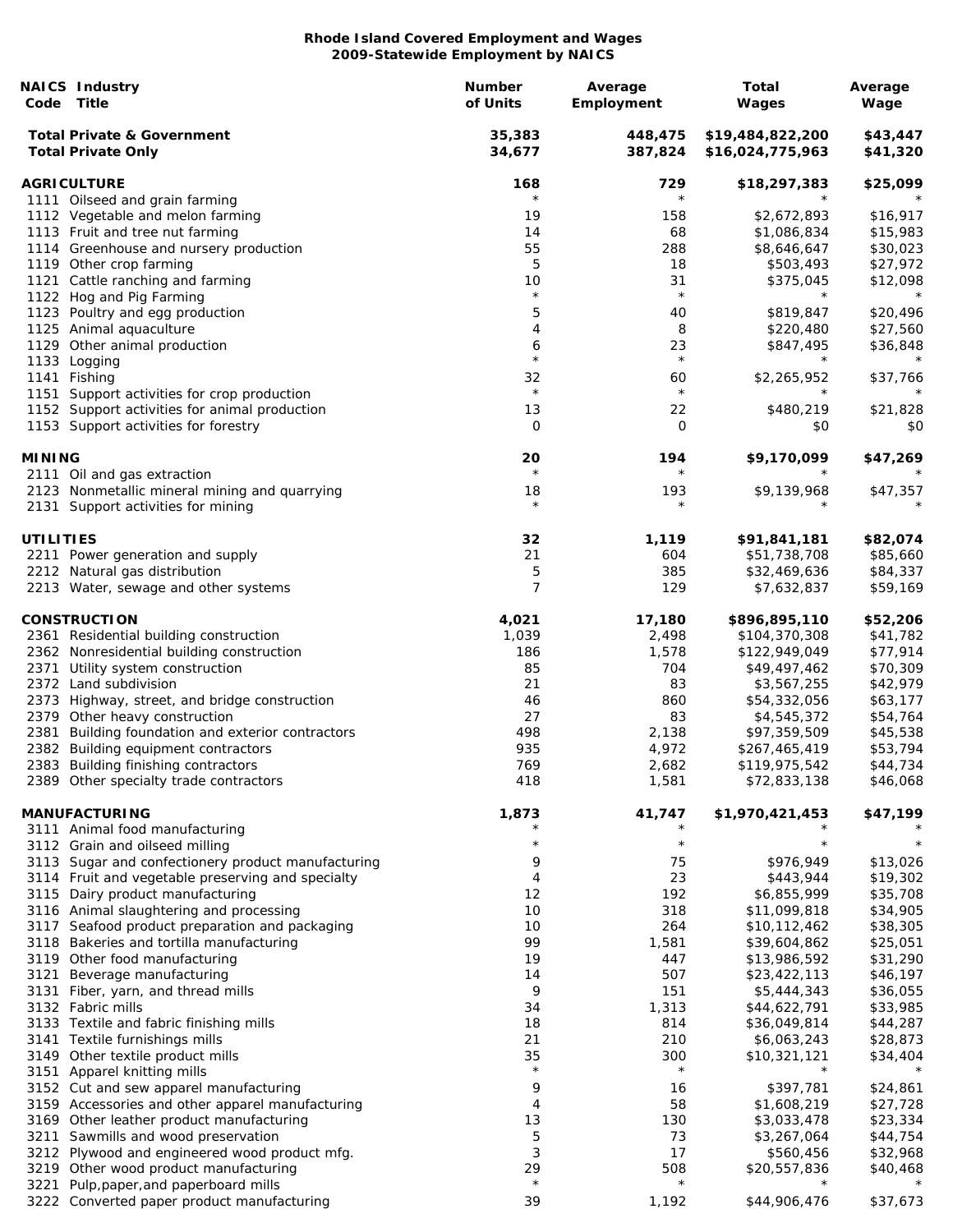| Code             | <b>NAICS Industry</b><br>Title                                                      | Number<br>of Units | Average<br>Employment | Total<br>Wages                       | Average<br>Wage      |
|------------------|-------------------------------------------------------------------------------------|--------------------|-----------------------|--------------------------------------|----------------------|
|                  | <b>Total Private &amp; Government</b><br><b>Total Private Only</b>                  | 35,383<br>34,677   | 448,475<br>387,824    | \$19,484,822,200<br>\$16,024,775,963 | \$43,447<br>\$41,320 |
|                  | <b>AGRICULTURE</b>                                                                  | 168                | 729                   | \$18,297,383                         | \$25,099             |
|                  | 1111 Oilseed and grain farming                                                      | $^\star$           | $\star$               |                                      |                      |
|                  | 1112 Vegetable and melon farming                                                    | 19                 | 158                   | \$2,672,893                          | \$16,917             |
|                  | 1113 Fruit and tree nut farming                                                     | 14                 | 68                    | \$1,086,834                          | \$15,983             |
|                  | 1114 Greenhouse and nursery production                                              | 55                 | 288                   | \$8,646,647                          | \$30,023             |
|                  | 1119 Other crop farming                                                             | 5                  | 18                    | \$503,493                            | \$27,972             |
|                  | 1121 Cattle ranching and farming                                                    | 10<br>$\star$      | 31<br>$\star$         | \$375,045<br>$^\star$                | \$12,098             |
|                  | 1122 Hog and Pig Farming                                                            |                    |                       |                                      |                      |
|                  | 1123 Poultry and egg production                                                     | 5<br>4             | 40<br>8               | \$819,847                            | \$20,496             |
|                  | 1125 Animal aquaculture<br>1129 Other animal production                             | 6                  | 23                    | \$220,480<br>\$847,495               | \$27,560<br>\$36,848 |
|                  | 1133 Logging                                                                        | $\star$            | $\star$               | $^\star$                             | $\star$              |
|                  | 1141 Fishing                                                                        | 32                 | 60                    | \$2,265,952                          | \$37,766             |
|                  | 1151 Support activities for crop production                                         | $\star$            | $\star$               | $^\star$                             |                      |
|                  | 1152 Support activities for animal production                                       | 13                 | 22                    | \$480,219                            | \$21,828             |
|                  | 1153 Support activities for forestry                                                | 0                  | 0                     | \$0                                  | \$0                  |
| <b>MINING</b>    |                                                                                     | 20                 | 194                   | \$9,170,099                          | \$47,269             |
|                  | 2111 Oil and gas extraction                                                         | $^\star$           | $\star$               |                                      |                      |
|                  | 2123 Nonmetallic mineral mining and quarrying<br>2131 Support activities for mining | 18<br>$\star$      | 193<br>$\star$        | \$9,139,968                          | \$47,357             |
| <b>UTILITIES</b> |                                                                                     | 32                 | 1,119                 | \$91,841,181                         | \$82,074             |
|                  | 2211 Power generation and supply                                                    | 21                 | 604                   | \$51,738,708                         | \$85,660             |
|                  | 2212 Natural gas distribution                                                       | 5                  | 385                   | \$32,469,636                         | \$84,337             |
|                  | 2213 Water, sewage and other systems                                                | 7                  | 129                   | \$7,632,837                          | \$59,169             |
|                  | <b>CONSTRUCTION</b>                                                                 | 4,021              | 17,180                | \$896,895,110                        | \$52,206             |
|                  | 2361 Residential building construction                                              | 1,039              | 2,498                 | \$104,370,308                        | \$41,782             |
|                  | 2362 Nonresidential building construction                                           | 186                | 1,578                 | \$122,949,049                        | \$77,914             |
|                  | 2371 Utility system construction                                                    | 85                 | 704                   | \$49,497,462                         | \$70,309             |
|                  | 2372 Land subdivision                                                               | 21                 | 83                    | \$3,567,255                          | \$42,979             |
|                  | 2373 Highway, street, and bridge construction                                       | 46                 | 860                   | \$54,332,056                         | \$63,177             |
|                  | 2379 Other heavy construction                                                       | 27                 | 83                    | \$4,545,372                          | \$54,764             |
| 2381             | Building foundation and exterior contractors                                        | 498                | 2,138                 | \$97,359,509                         | \$45,538             |
|                  | 2382 Building equipment contractors                                                 | 935                | 4,972                 | \$267,465,419                        | \$53,794             |
|                  | 2383 Building finishing contractors                                                 | 769                | 2,682                 | \$119,975,542                        | \$44,734             |
|                  | 2389 Other specialty trade contractors                                              | 418                | 1,581                 | \$72,833,138                         | \$46,068             |
|                  | <b>MANUFACTURING</b>                                                                | 1,873              | 41,747                | \$1,970,421,453                      | \$47,199             |
|                  | 3111 Animal food manufacturing<br>3112 Grain and oilseed milling                    | $\star$            | $\star$               |                                      |                      |
|                  | 3113 Sugar and confectionery product manufacturing                                  | 9                  | 75                    | \$976,949                            | \$13,026             |
|                  | 3114 Fruit and vegetable preserving and specialty                                   | 4                  | 23                    | \$443,944                            | \$19,302             |
|                  | 3115 Dairy product manufacturing                                                    | 12                 | 192                   | \$6,855,999                          | \$35,708             |
|                  | 3116 Animal slaughtering and processing                                             | 10                 | 318                   | \$11,099,818                         | \$34,905             |
|                  | 3117 Seafood product preparation and packaging                                      | 10                 | 264                   | \$10,112,462                         | \$38,305             |
|                  | 3118 Bakeries and tortilla manufacturing                                            | 99                 | 1,581                 | \$39,604,862                         | \$25,051             |
|                  | 3119 Other food manufacturing                                                       | 19                 | 447                   | \$13,986,592                         | \$31,290             |
| 3121             | Beverage manufacturing                                                              | 14                 | 507                   | \$23,422,113                         | \$46,197             |
|                  | 3131 Fiber, yarn, and thread mills                                                  | 9                  | 151                   | \$5,444,343                          | \$36,055             |
|                  | 3132 Fabric mills                                                                   | 34                 | 1,313                 | \$44,622,791                         | \$33,985             |
|                  | 3133 Textile and fabric finishing mills                                             | 18                 | 814                   | \$36,049,814                         | \$44,287             |
|                  | 3141 Textile furnishings mills                                                      | 21                 | 210                   | \$6,063,243                          | \$28,873             |
|                  | 3149 Other textile product mills                                                    | 35<br>$\star$      | 300<br>$\star$        | \$10,321,121<br>$^\star$             | \$34,404             |
|                  | 3151 Apparel knitting mills<br>3152 Cut and sew apparel manufacturing               | 9                  | 16                    | \$397,781                            | \$24,861             |
|                  | 3159 Accessories and other apparel manufacturing                                    | 4                  | 58                    | \$1,608,219                          | \$27,728             |
|                  | 3169 Other leather product manufacturing                                            | 13                 | 130                   | \$3,033,478                          | \$23,334             |
|                  | 3211 Sawmills and wood preservation                                                 | 5                  | 73                    | \$3,267,064                          | \$44,754             |
|                  | 3212 Plywood and engineered wood product mfg.                                       | 3                  | 17                    | \$560,456                            | \$32,968             |
|                  | 3219 Other wood product manufacturing                                               | 29                 | 508                   | \$20,557,836                         | \$40,468             |
| 3221             | Pulp, paper, and paperboard mills                                                   | $\star$            | $\star$               |                                      |                      |
|                  | 3222 Converted paper product manufacturing                                          | 39                 | 1,192                 | \$44,906,476                         | \$37,673             |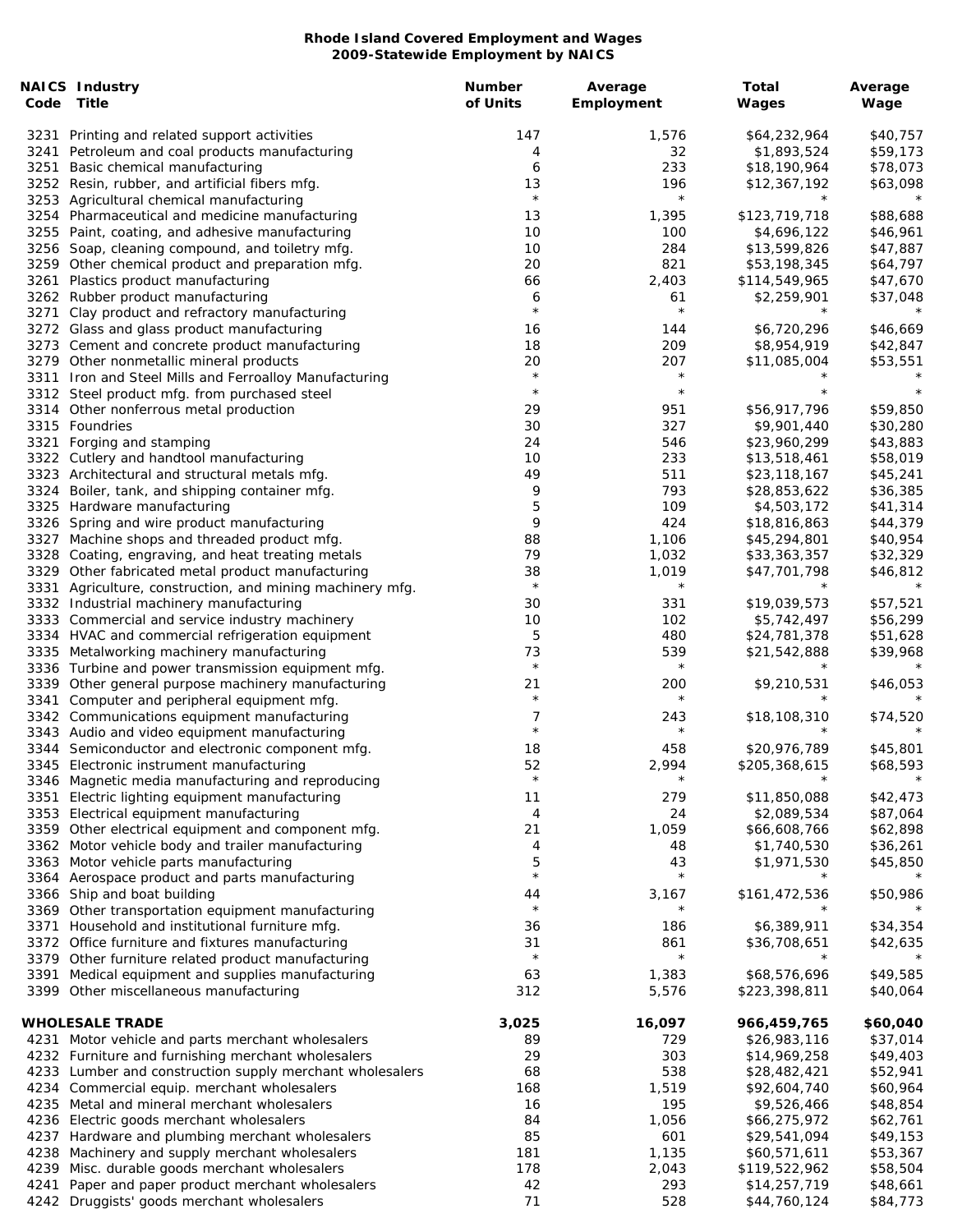| Code | <b>NAICS Industry</b><br>Title                                                           | <b>Number</b><br>of Units | Average<br>Employment | Total<br>Wages               | Average<br>Wage      |
|------|------------------------------------------------------------------------------------------|---------------------------|-----------------------|------------------------------|----------------------|
|      | 3231 Printing and related support activities                                             | 147                       | 1,576                 | \$64,232,964                 | \$40,757             |
|      | 3241 Petroleum and coal products manufacturing                                           | 4                         | 32                    | \$1,893,524                  | \$59,173             |
| 3251 | Basic chemical manufacturing                                                             | 6                         | 233                   | \$18,190,964                 | \$78,073             |
|      | 3252 Resin, rubber, and artificial fibers mfg.                                           | 13                        | 196                   | \$12,367,192                 | \$63,098             |
|      | 3253 Agricultural chemical manufacturing                                                 | $\star$                   | $\star$               |                              |                      |
|      | 3254 Pharmaceutical and medicine manufacturing                                           | 13                        | 1,395                 | \$123,719,718                | \$88,688             |
|      | 3255 Paint, coating, and adhesive manufacturing                                          | 10                        | 100                   | \$4,696,122                  | \$46,961             |
|      | 3256 Soap, cleaning compound, and toiletry mfg.                                          | 10                        | 284                   | \$13,599,826                 | \$47,887             |
|      | 3259 Other chemical product and preparation mfg.                                         | 20                        | 821                   | \$53,198,345                 | \$64,797             |
|      | 3261 Plastics product manufacturing                                                      | 66                        | 2,403                 | \$114,549,965                | \$47,670             |
|      | 3262 Rubber product manufacturing                                                        | 6                         | 61                    | \$2,259,901                  | \$37,048             |
| 3271 | Clay product and refractory manufacturing                                                | $\star$                   | $\star$               |                              |                      |
|      | 3272 Glass and glass product manufacturing                                               | 16                        | 144                   | \$6,720,296                  | \$46,669             |
|      | 3273 Cement and concrete product manufacturing                                           | 18                        | 209                   | \$8,954,919                  | \$42,847             |
|      | 3279 Other nonmetallic mineral products                                                  | 20                        | 207                   | \$11,085,004                 | \$53,551             |
|      | 3311 Iron and Steel Mills and Ferroalloy Manufacturing                                   | $\star$<br>$\star$        | $\star$<br>$\star$    |                              |                      |
|      | 3312 Steel product mfg. from purchased steel                                             |                           |                       |                              |                      |
|      | 3314 Other nonferrous metal production                                                   | 29                        | 951                   | \$56,917,796                 | \$59,850             |
|      | 3315 Foundries                                                                           | 30                        | 327                   | \$9,901,440                  | \$30,280             |
| 3321 | Forging and stamping                                                                     | 24                        | 546                   | \$23,960,299                 | \$43,883             |
|      | 3322 Cutlery and handtool manufacturing<br>3323 Architectural and structural metals mfg. | 10<br>49                  | 233<br>511            | \$13,518,461<br>\$23,118,167 | \$58,019             |
|      | 3324 Boiler, tank, and shipping container mfg.                                           | 9                         | 793                   | \$28,853,622                 | \$45,241<br>\$36,385 |
|      | 3325 Hardware manufacturing                                                              | 5                         | 109                   | \$4,503,172                  | \$41,314             |
|      | 3326 Spring and wire product manufacturing                                               | 9                         | 424                   | \$18,816,863                 | \$44,379             |
|      | 3327 Machine shops and threaded product mfg.                                             | 88                        | 1,106                 | \$45,294,801                 | \$40,954             |
|      | 3328 Coating, engraving, and heat treating metals                                        | 79                        | 1,032                 | \$33,363,357                 | \$32,329             |
|      | 3329 Other fabricated metal product manufacturing                                        | 38                        | 1,019                 | \$47,701,798                 | \$46,812             |
| 3331 | Agriculture, construction, and mining machinery mfg.                                     | $\star$                   | $\star$               |                              |                      |
|      | 3332 Industrial machinery manufacturing                                                  | 30                        | 331                   | \$19,039,573                 | \$57,521             |
|      | 3333 Commercial and service industry machinery                                           | 10                        | 102                   | \$5,742,497                  | \$56,299             |
|      | 3334 HVAC and commercial refrigeration equipment                                         | 5                         | 480                   | \$24,781,378                 | \$51,628             |
|      | 3335 Metalworking machinery manufacturing                                                | 73                        | 539                   | \$21,542,888                 | \$39,968             |
|      | 3336 Turbine and power transmission equipment mfg.                                       | $\star$                   | $\star$               | $^\star$                     |                      |
|      | 3339 Other general purpose machinery manufacturing                                       | 21                        | 200                   | \$9,210,531                  | \$46,053             |
| 3341 | Computer and peripheral equipment mfg.                                                   | $\star$                   | $\star$               |                              |                      |
|      | 3342 Communications equipment manufacturing                                              | 7                         | 243                   | \$18,108,310                 | \$74,520             |
|      | 3343 Audio and video equipment manufacturing                                             | $\star$                   | $^\star$              |                              |                      |
|      | 3344 Semiconductor and electronic component mfg.                                         | 18                        | 458                   | \$20,976,789                 | \$45,801             |
|      | 3345 Electronic instrument manufacturing                                                 | 52                        | 2,994                 | \$205,368,615                | \$68,593             |
|      | 3346 Magnetic media manufacturing and reproducing                                        | $\star$                   | $^\star$              | $\star$                      |                      |
| 3351 | Electric lighting equipment manufacturing                                                | 11                        | 279                   | \$11,850,088                 | \$42,473             |
|      | 3353 Electrical equipment manufacturing                                                  | 4                         | 24                    | \$2,089,534                  | \$87,064             |
|      | 3359 Other electrical equipment and component mfg.                                       | 21                        | 1,059                 | \$66,608,766                 | \$62,898             |
|      | 3362 Motor vehicle body and trailer manufacturing                                        | 4<br>5                    | 48<br>43              | \$1,740,530                  | \$36,261             |
|      | 3363 Motor vehicle parts manufacturing<br>3364 Aerospace product and parts manufacturing | $\star$                   | $\star$               | \$1,971,530                  | \$45,850             |
|      | 3366 Ship and boat building                                                              | 44                        | 3,167                 | \$161,472,536                | \$50,986             |
|      | 3369 Other transportation equipment manufacturing                                        | $\star$                   | $^\star$              |                              |                      |
|      | 3371 Household and institutional furniture mfg.                                          | 36                        | 186                   | \$6,389,911                  | \$34,354             |
|      | 3372 Office furniture and fixtures manufacturing                                         | 31                        | 861                   | \$36,708,651                 | \$42,635             |
|      | 3379 Other furniture related product manufacturing                                       | $\star$                   | $\star$               |                              |                      |
|      | 3391 Medical equipment and supplies manufacturing                                        | 63                        | 1,383                 | \$68,576,696                 | \$49,585             |
|      | 3399 Other miscellaneous manufacturing                                                   | 312                       | 5,576                 | \$223,398,811                | \$40,064             |
|      |                                                                                          |                           |                       |                              |                      |
|      | <b>WHOLESALE TRADE</b>                                                                   | 3,025                     | 16,097                | 966,459,765                  | \$60,040             |
|      | 4231 Motor vehicle and parts merchant wholesalers                                        | 89                        | 729                   | \$26,983,116                 | \$37,014             |
|      | 4232 Furniture and furnishing merchant wholesalers                                       | 29                        | 303                   | \$14,969,258                 | \$49,403             |
|      | 4233 Lumber and construction supply merchant wholesalers                                 | 68                        | 538                   | \$28,482,421                 | \$52,941             |
|      | 4234 Commercial equip. merchant wholesalers                                              | 168                       | 1,519                 | \$92,604,740                 | \$60,964             |
|      | 4235 Metal and mineral merchant wholesalers                                              | 16                        | 195                   | \$9,526,466                  | \$48,854             |
| 4236 | Electric goods merchant wholesalers                                                      | 84                        | 1,056                 | \$66,275,972                 | \$62,761             |
| 4237 | Hardware and plumbing merchant wholesalers                                               | 85                        | 601                   | \$29,541,094                 | \$49,153             |
|      | 4238 Machinery and supply merchant wholesalers                                           | 181                       | 1,135                 | \$60,571,611                 | \$53,367             |
|      | 4239 Misc. durable goods merchant wholesalers                                            | 178                       | 2,043                 | \$119,522,962                | \$58,504             |
| 4241 | Paper and paper product merchant wholesalers                                             | 42                        | 293                   | \$14,257,719                 | \$48,661             |
|      | 4242 Druggists' goods merchant wholesalers                                               | 71                        | 528                   | \$44,760,124                 | \$84,773             |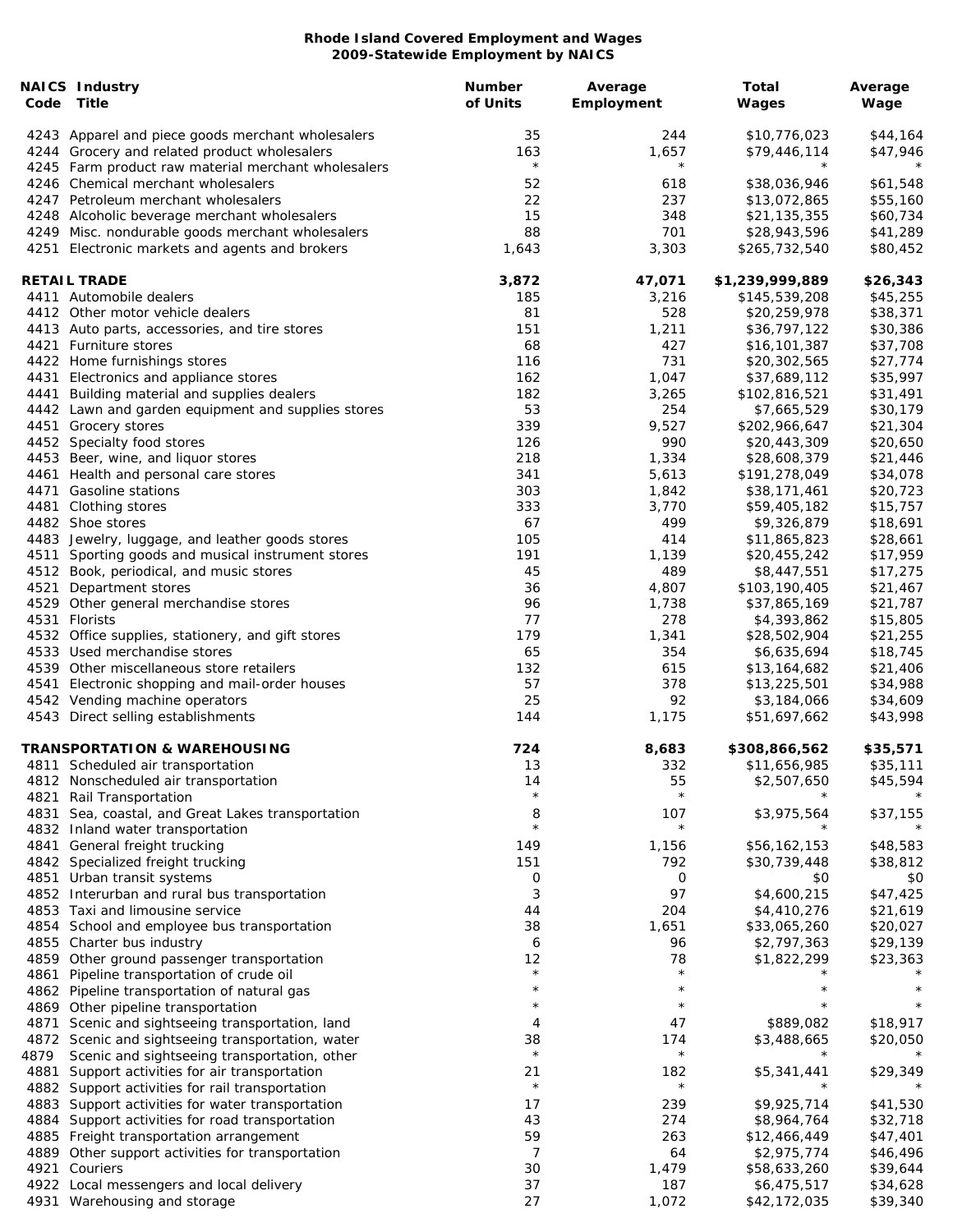| Code | <b>NAICS Industry</b><br>Title                                                                      | Number<br>of Units | Average<br>Employment | Total<br>Wages               | Average<br>Wage      |
|------|-----------------------------------------------------------------------------------------------------|--------------------|-----------------------|------------------------------|----------------------|
|      | 4243 Apparel and piece goods merchant wholesalers<br>4244 Grocery and related product wholesalers   | 35<br>163          | 244<br>1,657          | \$10,776,023<br>\$79,446,114 | \$44,164<br>\$47,946 |
|      | 4245 Farm product raw material merchant wholesalers                                                 | $\star$            | $\star$               | $\star$                      |                      |
|      | 4246 Chemical merchant wholesalers                                                                  | 52                 | 618                   | \$38,036,946                 | \$61,548             |
|      | 4247 Petroleum merchant wholesalers                                                                 | 22                 | 237                   | \$13,072,865                 | \$55,160             |
|      | 4248 Alcoholic beverage merchant wholesalers                                                        | 15                 | 348                   | \$21,135,355                 | \$60,734             |
|      | 4249 Misc. nondurable goods merchant wholesalers                                                    | 88                 | 701                   | \$28,943,596                 | \$41,289             |
|      | 4251 Electronic markets and agents and brokers                                                      | 1,643              | 3,303                 | \$265,732,540                | \$80,452             |
|      | <b>RETAIL TRADE</b>                                                                                 | 3,872              | 47,071                | \$1,239,999,889              | \$26,343             |
|      | 4411 Automobile dealers                                                                             | 185                | 3,216                 | \$145,539,208                | \$45,255             |
|      | 4412 Other motor vehicle dealers                                                                    | 81                 | 528                   | \$20,259,978                 | \$38,371             |
|      | 4413 Auto parts, accessories, and tire stores                                                       | 151                | 1,211                 | \$36,797,122                 | \$30,386             |
|      | 4421 Furniture stores                                                                               | 68                 | 427                   | \$16,101,387                 | \$37,708             |
|      | 4422 Home furnishings stores                                                                        | 116                | 731                   | \$20,302,565                 | \$27,774             |
|      | 4431 Electronics and appliance stores                                                               | 162<br>182         | 1,047                 | \$37,689,112                 | \$35,997             |
|      | 4441 Building material and supplies dealers<br>4442 Lawn and garden equipment and supplies stores   | 53                 | 3,265<br>254          | \$102,816,521<br>\$7,665,529 | \$31,491<br>\$30,179 |
|      | 4451 Grocery stores                                                                                 | 339                | 9,527                 | \$202,966,647                | \$21,304             |
|      | 4452 Specialty food stores                                                                          | 126                | 990                   | \$20,443,309                 | \$20,650             |
|      | 4453 Beer, wine, and liquor stores                                                                  | 218                | 1,334                 | \$28,608,379                 | \$21,446             |
|      | 4461 Health and personal care stores                                                                | 341                | 5,613                 | \$191,278,049                | \$34,078             |
|      | 4471 Gasoline stations                                                                              | 303                | 1,842                 | \$38,171,461                 | \$20,723             |
|      | 4481 Clothing stores                                                                                | 333                | 3,770                 | \$59,405,182                 | \$15,757             |
|      | 4482 Shoe stores                                                                                    | 67                 | 499                   | \$9,326,879                  | \$18,691             |
|      | 4483 Jewelry, luggage, and leather goods stores                                                     | 105                | 414                   | \$11,865,823                 | \$28,661             |
|      | 4511 Sporting goods and musical instrument stores                                                   | 191                | 1,139                 | \$20,455,242                 | \$17,959             |
|      | 4512 Book, periodical, and music stores                                                             | 45                 | 489                   | \$8,447,551                  | \$17,275             |
| 4521 | Department stores                                                                                   | 36                 | 4,807                 | \$103,190,405                | \$21,467             |
|      | 4529 Other general merchandise stores                                                               | 96                 | 1,738                 | \$37,865,169                 | \$21,787             |
|      | 4531 Florists                                                                                       | 77<br>179          | 278<br>1,341          | \$4,393,862                  | \$15,805             |
|      | 4532 Office supplies, stationery, and gift stores<br>4533 Used merchandise stores                   | 65                 | 354                   | \$28,502,904<br>\$6,635,694  | \$21,255<br>\$18,745 |
|      | 4539 Other miscellaneous store retailers                                                            | 132                | 615                   | \$13,164,682                 | \$21,406             |
| 4541 | Electronic shopping and mail-order houses                                                           | 57                 | 378                   | \$13,225,501                 | \$34,988             |
|      | 4542 Vending machine operators                                                                      | 25                 | 92                    | \$3,184,066                  | \$34,609             |
|      | 4543 Direct selling establishments                                                                  | 144                | 1,175                 | \$51,697,662                 | \$43,998             |
|      | <b>TRANSPORTATION &amp; WAREHOUSING</b>                                                             | 724                | 8,683                 | \$308,866,562                | \$35,571             |
|      | 4811 Scheduled air transportation                                                                   | 13                 | 332                   | \$11,656,985                 | \$35,111             |
|      | 4812 Nonscheduled air transportation                                                                | 14                 | 55                    | \$2,507,650                  | \$45,594             |
| 4821 | Rail Transportation                                                                                 | $\star$            | $\star$               |                              |                      |
|      | 4831 Sea, coastal, and Great Lakes transportation                                                   | 8<br>$\star$       | 107                   | \$3,975,564                  | \$37,155             |
|      | 4832 Inland water transportation                                                                    |                    | $\star$               |                              |                      |
|      | 4841 General freight trucking                                                                       | 149                | 1,156                 | \$56,162,153                 | \$48,583             |
|      | 4842 Specialized freight trucking<br>4851 Urban transit systems                                     | 151<br>0           | 792<br>0              | \$30,739,448<br>\$0          | \$38,812<br>\$0      |
|      | 4852 Interurban and rural bus transportation                                                        | 3                  | 97                    | \$4,600,215                  | \$47,425             |
|      | 4853 Taxi and limousine service                                                                     | 44                 | 204                   | \$4,410,276                  | \$21,619             |
|      | 4854 School and employee bus transportation                                                         | 38                 | 1,651                 | \$33,065,260                 | \$20,027             |
|      | 4855 Charter bus industry                                                                           | 6                  | 96                    | \$2,797,363                  | \$29,139             |
|      | 4859 Other ground passenger transportation                                                          | 12                 | 78                    | \$1,822,299                  | \$23,363             |
| 4861 | Pipeline transportation of crude oil                                                                | $\star$            | $\star$               |                              |                      |
|      | 4862 Pipeline transportation of natural gas                                                         | $^\star$           | $^\star$              | $^\star$                     |                      |
|      | 4869 Other pipeline transportation                                                                  | $\star$            | $^\star$              |                              |                      |
| 4871 | Scenic and sightseeing transportation, land                                                         | 4                  | 47                    | \$889,082                    | \$18,917             |
|      | 4872 Scenic and sightseeing transportation, water                                                   | 38                 | 174                   | \$3,488,665                  | \$20,050             |
| 4879 | Scenic and sightseeing transportation, other                                                        | $\star$            | $\star$               | $^\star$                     |                      |
| 4881 | Support activities for air transportation                                                           | 21<br>$\star$      | 182<br>$\star$        | \$5,341,441<br>$^\star$      | \$29,349             |
|      | 4882 Support activities for rail transportation                                                     |                    |                       |                              |                      |
|      | 4883 Support activities for water transportation<br>4884 Support activities for road transportation | 17<br>43           | 239<br>274            | \$9,925,714<br>\$8,964,764   | \$41,530<br>\$32,718 |
|      | 4885 Freight transportation arrangement                                                             | 59                 | 263                   | \$12,466,449                 | \$47,401             |
|      | 4889 Other support activities for transportation                                                    | 7                  | 64                    | \$2,975,774                  | \$46,496             |
| 4921 | Couriers                                                                                            | 30                 | 1,479                 | \$58,633,260                 | \$39,644             |
|      | 4922 Local messengers and local delivery                                                            | 37                 | 187                   | \$6,475,517                  | \$34,628             |
|      | 4931 Warehousing and storage                                                                        | 27                 | 1,072                 | \$42,172,035                 | \$39,340             |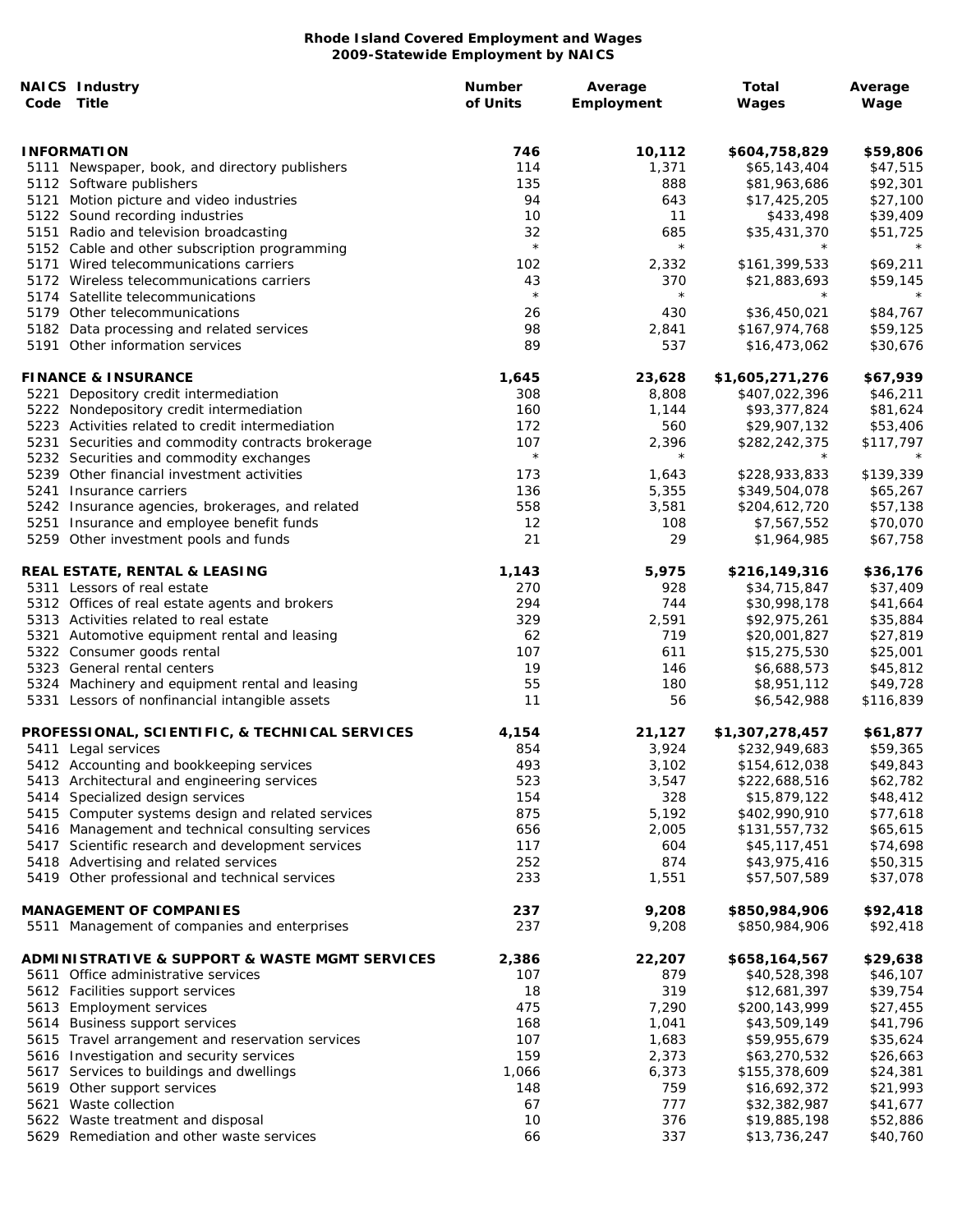| Code | <b>NAICS Industry</b><br>Title                    | <b>Number</b><br>of Units | Average<br>Employment | Total<br>Wages  | Average<br>Wage |
|------|---------------------------------------------------|---------------------------|-----------------------|-----------------|-----------------|
|      | <b>INFORMATION</b>                                | 746                       | 10,112                | \$604,758,829   | \$59,806        |
|      | 5111 Newspaper, book, and directory publishers    | 114                       | 1,371                 | \$65,143,404    | \$47,515        |
|      | 5112 Software publishers                          | 135                       | 888                   | \$81,963,686    | \$92,301        |
|      | 5121 Motion picture and video industries          | 94                        | 643                   | \$17,425,205    | \$27,100        |
|      | 5122 Sound recording industries                   | 10                        | 11                    | \$433,498       | \$39,409        |
|      | 5151 Radio and television broadcasting            | 32                        | 685                   | \$35,431,370    | \$51,725        |
|      | 5152 Cable and other subscription programming     | $\star$                   | $\star$               | $^\star$        | $\star$         |
|      | 5171 Wired telecommunications carriers            | 102                       | 2,332                 | \$161,399,533   | \$69,211        |
|      | 5172 Wireless telecommunications carriers         | 43                        | 370                   | \$21,883,693    | \$59,145        |
|      | 5174 Satellite telecommunications                 | $\star$                   | $\star$               |                 | $\star$         |
|      | 5179 Other telecommunications                     | 26                        | 430                   | \$36,450,021    | \$84,767        |
|      | 5182 Data processing and related services         | 98                        | 2,841                 | \$167,974,768   | \$59,125        |
|      | 5191 Other information services                   | 89                        | 537                   | \$16,473,062    | \$30,676        |
|      | <b>FINANCE &amp; INSURANCE</b>                    | 1,645                     | 23,628                | \$1,605,271,276 | \$67,939        |
|      | 5221 Depository credit intermediation             | 308                       | 8,808                 | \$407,022,396   | \$46,211        |
|      | 5222 Nondepository credit intermediation          | 160                       | 1,144                 | \$93,377,824    | \$81,624        |
|      | 5223 Activities related to credit intermediation  | 172                       | 560                   | \$29,907,132    | \$53,406        |
|      | 5231 Securities and commodity contracts brokerage | 107                       | 2,396                 | \$282,242,375   | \$117,797       |
|      | 5232 Securities and commodity exchanges           | $\star$                   | $\star$               |                 | $\star$         |
|      | 5239 Other financial investment activities        | 173                       | 1,643                 | \$228,933,833   | \$139,339       |
|      | 5241 Insurance carriers                           | 136                       | 5,355                 | \$349,504,078   | \$65,267        |
|      | 5242 Insurance agencies, brokerages, and related  | 558                       | 3,581                 | \$204,612,720   | \$57,138        |
|      | 5251 Insurance and employee benefit funds         | 12                        | 108                   | \$7,567,552     | \$70,070        |
|      | 5259 Other investment pools and funds             | 21                        | 29                    | \$1,964,985     | \$67,758        |
|      | REAL ESTATE, RENTAL & LEASING                     | 1,143                     | 5,975                 | \$216,149,316   | \$36,176        |
|      | 5311 Lessors of real estate                       | 270                       | 928                   | \$34,715,847    | \$37,409        |
|      | 5312 Offices of real estate agents and brokers    | 294                       | 744                   | \$30,998,178    | \$41,664        |
|      | 5313 Activities related to real estate            | 329                       | 2,591                 | \$92,975,261    | \$35,884        |
|      | 5321 Automotive equipment rental and leasing      | 62                        | 719                   | \$20,001,827    | \$27,819        |
|      | 5322 Consumer goods rental                        | 107                       | 611                   | \$15,275,530    | \$25,001        |
|      | 5323 General rental centers                       | 19                        | 146                   | \$6,688,573     | \$45,812        |
|      | 5324 Machinery and equipment rental and leasing   | 55                        | 180                   | \$8,951,112     | \$49,728        |
|      | 5331 Lessors of nonfinancial intangible assets    | 11                        | 56                    | \$6,542,988     | \$116,839       |
|      | PROFESSIONAL, SCIENTIFIC, & TECHNICAL SERVICES    | 4,154                     | 21,127                | \$1,307,278,457 | \$61,877        |
|      | 5411 Legal services                               | 854                       | 3,924                 | \$232,949,683   | \$59,365        |
|      | 5412 Accounting and bookkeeping services          | 493                       | 3,102                 | \$154,612,038   | \$49,843        |
|      | 5413 Architectural and engineering services       | 523                       | 3,547                 | \$222,688,516   | \$62,782        |
|      | 5414 Specialized design services                  | 154                       | 328                   | \$15,879,122    | \$48,412        |
|      | 5415 Computer systems design and related services | 875                       | 5,192                 | \$402,990,910   | \$77,618        |
|      | 5416 Management and technical consulting services | 656                       | 2,005                 | \$131,557,732   | \$65,615        |
|      | 5417 Scientific research and development services | 117                       | 604                   | \$45,117,451    | \$74,698        |
|      | 5418 Advertising and related services             | 252                       | 874                   | \$43,975,416    | \$50,315        |
|      | 5419 Other professional and technical services    | 233                       | 1,551                 | \$57,507,589    | \$37,078        |
|      | <b>MANAGEMENT OF COMPANIES</b>                    | 237                       | 9,208                 | \$850,984,906   | \$92,418        |
|      | 5511 Management of companies and enterprises      | 237                       | 9,208                 | \$850,984,906   | \$92,418        |
|      | ADMINISTRATIVE & SUPPORT & WASTE MGMT SERVICES    | 2,386                     | 22,207                | \$658,164,567   | \$29,638        |
|      | 5611 Office administrative services               | 107                       | 879                   | \$40,528,398    | \$46,107        |
|      | 5612 Facilities support services                  | 18                        | 319                   | \$12,681,397    | \$39,754        |
|      | 5613 Employment services                          | 475                       | 7,290                 | \$200,143,999   | \$27,455        |
|      | 5614 Business support services                    | 168                       | 1,041                 | \$43,509,149    | \$41,796        |
|      | 5615 Travel arrangement and reservation services  | 107                       | 1,683                 | \$59,955,679    | \$35,624        |
|      | 5616 Investigation and security services          | 159                       | 2,373                 | \$63,270,532    | \$26,663        |
|      | 5617 Services to buildings and dwellings          | 1,066                     | 6,373                 | \$155,378,609   | \$24,381        |
|      | 5619 Other support services                       | 148                       | 759                   | \$16,692,372    | \$21,993        |
|      | 5621 Waste collection                             | 67                        | 777                   | \$32,382,987    | \$41,677        |
|      | 5622 Waste treatment and disposal                 | 10                        | 376                   | \$19,885,198    | \$52,886        |
|      | 5629 Remediation and other waste services         | 66                        | 337                   | \$13,736,247    | \$40,760        |
|      |                                                   |                           |                       |                 |                 |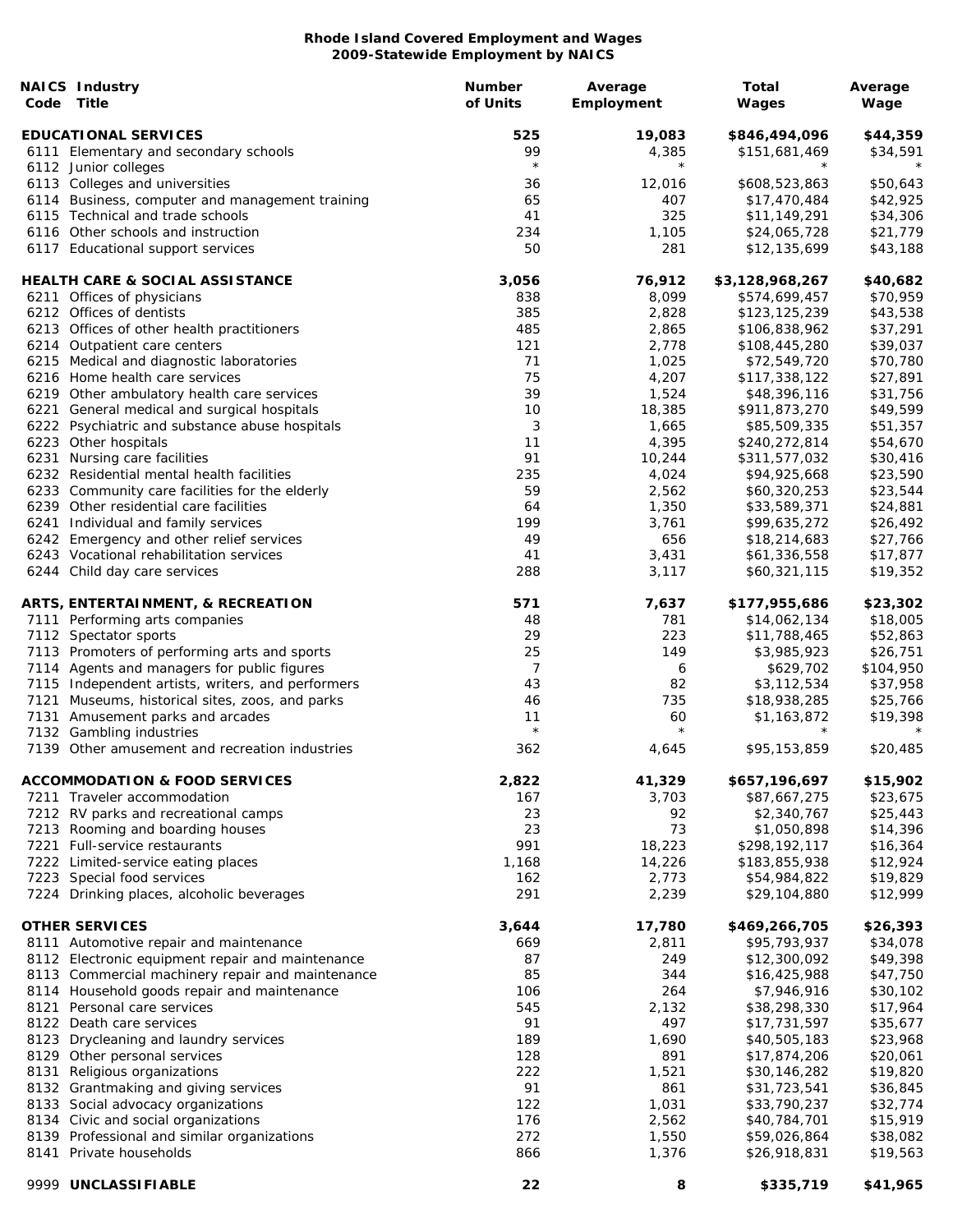| Code | <b>NAICS Industry</b><br>Title                                                                | <b>Number</b><br>of Units | Average<br>Employment | Total<br>Wages                | Average<br>Wage      |
|------|-----------------------------------------------------------------------------------------------|---------------------------|-----------------------|-------------------------------|----------------------|
|      | <b>EDUCATIONAL SERVICES</b>                                                                   | 525                       | 19,083                | \$846,494,096                 | \$44,359             |
|      | 6111 Elementary and secondary schools                                                         | 99                        | 4,385                 | \$151,681,469                 | \$34,591             |
|      | 6112 Junior colleges                                                                          | $\star$                   | $\star$               |                               |                      |
|      | 6113 Colleges and universities                                                                | 36                        | 12,016                | \$608,523,863                 | \$50,643             |
|      | 6114 Business, computer and management training                                               | 65                        | 407                   | \$17,470,484                  | \$42,925             |
|      | 6115 Technical and trade schools                                                              | 41                        | 325                   | \$11,149,291                  | \$34,306             |
|      | 6116 Other schools and instruction                                                            | 234                       | 1,105                 | \$24,065,728                  | \$21,779             |
|      | 6117 Educational support services                                                             | 50                        | 281                   | \$12,135,699                  | \$43,188             |
|      | <b>HEALTH CARE &amp; SOCIAL ASSISTANCE</b>                                                    | 3,056                     | 76,912                | \$3,128,968,267               | \$40,682             |
|      | 6211 Offices of physicians                                                                    | 838                       | 8,099                 | \$574,699,457                 | \$70,959             |
|      | 6212 Offices of dentists                                                                      | 385                       | 2,828                 | \$123,125,239                 | \$43,538             |
|      | 6213 Offices of other health practitioners                                                    | 485                       | 2,865                 | \$106,838,962                 | \$37,291             |
|      | 6214 Outpatient care centers                                                                  | 121                       | 2,778                 | \$108,445,280                 | \$39,037             |
|      | 6215 Medical and diagnostic laboratories                                                      | 71                        | 1,025                 | \$72,549,720                  | \$70,780             |
|      | 6216 Home health care services                                                                | 75                        | 4,207                 | \$117,338,122                 | \$27,891             |
|      | 6219 Other ambulatory health care services                                                    | 39<br>10                  | 1,524                 | \$48,396,116                  | \$31,756             |
|      | 6221 General medical and surgical hospitals<br>6222 Psychiatric and substance abuse hospitals | 3                         | 18,385<br>1,665       | \$911,873,270<br>\$85,509,335 | \$49,599<br>\$51,357 |
|      | 6223 Other hospitals                                                                          | 11                        | 4,395                 | \$240,272,814                 | \$54,670             |
|      | 6231 Nursing care facilities                                                                  | 91                        | 10,244                | \$311,577,032                 | \$30,416             |
|      | 6232 Residential mental health facilities                                                     | 235                       | 4,024                 | \$94,925,668                  | \$23,590             |
|      | 6233 Community care facilities for the elderly                                                | 59                        | 2,562                 | \$60,320,253                  | \$23,544             |
|      | 6239 Other residential care facilities                                                        | 64                        | 1,350                 | \$33,589,371                  | \$24,881             |
|      | 6241 Individual and family services                                                           | 199                       | 3,761                 | \$99,635,272                  | \$26,492             |
|      | 6242 Emergency and other relief services                                                      | 49                        | 656                   | \$18,214,683                  | \$27,766             |
|      | 6243 Vocational rehabilitation services                                                       | 41                        | 3,431                 | \$61,336,558                  | \$17,877             |
|      | 6244 Child day care services                                                                  | 288                       | 3,117                 | \$60,321,115                  | \$19,352             |
|      | ARTS, ENTERTAINMENT, & RECREATION                                                             | 571                       | 7,637                 | \$177,955,686                 | \$23,302             |
|      | 7111 Performing arts companies                                                                | 48                        | 781                   | \$14,062,134                  | \$18,005             |
|      | 7112 Spectator sports                                                                         | 29                        | 223                   | \$11,788,465                  | \$52,863             |
|      | 7113 Promoters of performing arts and sports                                                  | 25                        | 149                   | \$3,985,923                   | \$26,751             |
|      | 7114 Agents and managers for public figures                                                   | 7                         | 6                     | \$629,702                     | \$104,950            |
|      | 7115 Independent artists, writers, and performers                                             | 43                        | 82                    | \$3,112,534                   | \$37,958             |
|      | 7121 Museums, historical sites, zoos, and parks                                               | 46                        | 735                   | \$18,938,285                  | \$25,766             |
|      | 7131 Amusement parks and arcades                                                              | 11                        | 60                    | \$1,163,872                   | \$19,398             |
|      | 7132 Gambling industries<br>7139 Other amusement and recreation industries                    | $\star$<br>362            | $\star$<br>4,645      | $\star$<br>\$95,153,859       | \$20,485             |
|      |                                                                                               |                           |                       |                               |                      |
|      | <b>ACCOMMODATION &amp; FOOD SERVICES</b>                                                      | 2,822                     | 41,329                | \$657,196,697                 | \$15,902             |
|      | 7211 Traveler accommodation                                                                   | 167                       | 3,703                 | \$87,667,275                  | \$23,675             |
|      | 7212 RV parks and recreational camps                                                          | 23                        | 92                    | \$2,340,767                   | \$25,443             |
|      | 7213 Rooming and boarding houses                                                              | 23                        | 73                    | \$1,050,898                   | \$14,396             |
|      | 7221 Full-service restaurants                                                                 | 991                       | 18,223                | \$298,192,117                 | \$16,364             |
|      | 7222 Limited-service eating places                                                            | 1,168                     | 14,226                | \$183,855,938                 | \$12,924             |
|      | 7223 Special food services<br>7224 Drinking places, alcoholic beverages                       | 162<br>291                | 2,773<br>2,239        | \$54,984,822<br>\$29,104,880  | \$19,829<br>\$12,999 |
|      |                                                                                               |                           |                       |                               |                      |
|      | <b>OTHER SERVICES</b>                                                                         | 3,644                     | 17,780                | \$469,266,705                 | \$26,393             |
|      | 8111 Automotive repair and maintenance                                                        | 669                       | 2,811                 | \$95,793,937                  | \$34,078             |
|      | 8112 Electronic equipment repair and maintenance                                              | 87                        | 249                   | \$12,300,092                  | \$49,398             |
|      | 8113 Commercial machinery repair and maintenance                                              | 85                        | 344<br>264            | \$16,425,988                  | \$47,750             |
|      | 8114 Household goods repair and maintenance<br>8121 Personal care services                    | 106<br>545                | 2,132                 | \$7,946,916<br>\$38,298,330   | \$30,102<br>\$17,964 |
|      | 8122 Death care services                                                                      | 91                        | 497                   | \$17,731,597                  | \$35,677             |
|      | 8123 Drycleaning and laundry services                                                         | 189                       | 1,690                 | \$40,505,183                  | \$23,968             |
|      | 8129 Other personal services                                                                  | 128                       | 891                   | \$17,874,206                  | \$20,061             |
| 8131 | Religious organizations                                                                       | 222                       | 1,521                 | \$30,146,282                  | \$19,820             |
|      | 8132 Grantmaking and giving services                                                          | 91                        | 861                   | \$31,723,541                  | \$36,845             |
|      | 8133 Social advocacy organizations                                                            | 122                       | 1,031                 | \$33,790,237                  | \$32,774             |
|      | 8134 Civic and social organizations                                                           | 176                       | 2,562                 | \$40,784,701                  | \$15,919             |
|      | 8139 Professional and similar organizations                                                   | 272                       | 1,550                 | \$59,026,864                  | \$38,082             |
|      | 8141 Private households                                                                       | 866                       | 1,376                 | \$26,918,831                  | \$19,563             |
|      | 9999 UNCLASSIFIABLE                                                                           | 22                        | 8                     | \$335,719                     | \$41,965             |